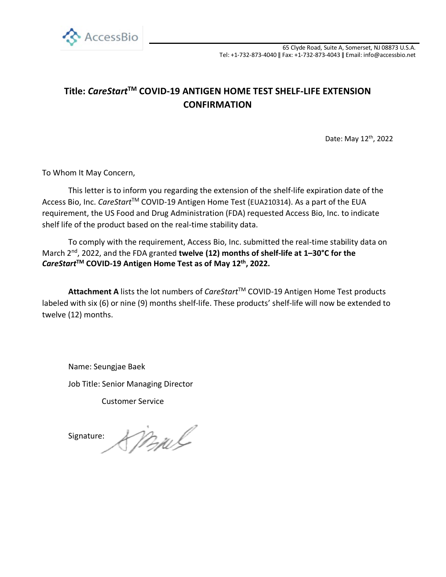

## **Title:** *CareStart***TM COVID-19 ANTIGEN HOME TEST SHELF-LIFE EXTENSION CONFIRMATION**

Date: May 12th, 2022

To Whom It May Concern,

This letter is to inform you regarding the extension of the shelf-life expiration date of the Access Bio, Inc. *CareStart*TM COVID-19 Antigen Home Test (EUA210314). As a part of the EUA requirement, the US Food and Drug Administration (FDA) requested Access Bio, Inc. to indicate shelf life of the product based on the real-time stability data.

To comply with the requirement, Access Bio, Inc. submitted the real-time stability data on March 2<sup>nd</sup>, 2022, and the FDA granted **twelve (12) months of shelf-life at 1–30°C for the** *CareStart***TM COVID-19 Antigen Home Test as of May 12th, 2022.**

Attachment A lists the lot numbers of *CareStart*™ COVID-19 Antigen Home Test products labeled with six (6) or nine (9) months shelf-life. These products' shelf-life will now be extended to twelve (12) months.

Name: Seungjae Baek Job Title: Senior Managing Director

Customer Service

ml Signature: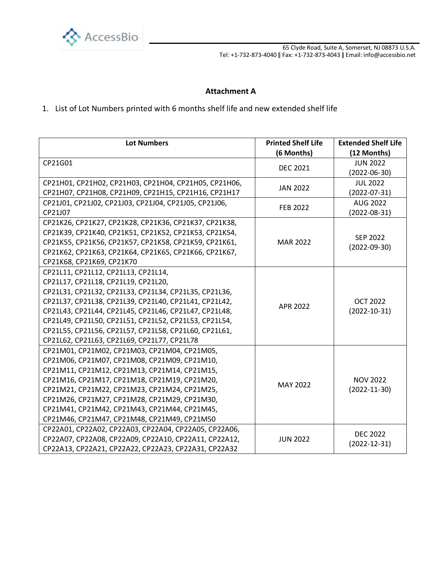

65 Clyde Road, Suite A, Somerset, NJ 08873 U.S.A. Tel: +1-732-873-4040 ǁ Fax: +1-732-873-4043 ǁ Email: info@accessbio.net

## **Attachment A**

## 1. List of Lot Numbers printed with 6 months shelf life and new extended shelf life

| <b>Lot Numbers</b>                                    | <b>Printed Shelf Life</b><br>(6 Months) | <b>Extended Shelf Life</b><br>(12 Months) |
|-------------------------------------------------------|-----------------------------------------|-------------------------------------------|
| CP21G01                                               | <b>DEC 2021</b>                         | <b>JUN 2022</b>                           |
|                                                       |                                         | $(2022 - 06 - 30)$                        |
| СР21Н01, СР21Н02, СР21Н03, СР21Н04, СР21Н05, СР21Н06, | <b>JAN 2022</b>                         | <b>JUL 2022</b>                           |
| CP21H07, CP21H08, CP21H09, CP21H15, CP21H16, CP21H17  |                                         | $(2022 - 07 - 31)$                        |
| CP21J01, CP21J02, CP21J03, CP21J04, CP21J05, CP21J06, | FEB 2022                                | <b>AUG 2022</b>                           |
| CP21J07                                               |                                         | $(2022 - 08 - 31)$                        |
| CP21K26, CP21K27, CP21K28, CP21K36, CP21K37, CP21K38, | <b>MAR 2022</b>                         | SEP 2022<br>$(2022 - 09 - 30)$            |
| CP21K39, CP21K40, CP21K51, CP21K52, CP21K53, CP21K54, |                                         |                                           |
| CP21K55, CP21K56, CP21K57, CP21K58, CP21K59, CP21K61, |                                         |                                           |
| CP21K62, CP21K63, CP21K64, CP21K65, CP21K66, CP21K67, |                                         |                                           |
| CP21K68, CP21K69, CP21K70                             |                                         |                                           |
| CP21L11, CP21L12, CP21L13, CP21L14,                   | APR 2022                                | <b>OCT 2022</b><br>$(2022 - 10 - 31)$     |
| CP21L17, CP21L18, CP21L19, CP21L20,                   |                                         |                                           |
| CP21L31, CP21L32, CP21L33, CP21L34, CP21L35, CP21L36, |                                         |                                           |
| CP21L37, CP21L38, CP21L39, CP21L40, CP21L41, CP21L42, |                                         |                                           |
| CP21L43, CP21L44, CP21L45, CP21L46, CP21L47, CP21L48, |                                         |                                           |
| CP21L49, CP21L50, CP21L51, CP21L52, CP21L53, CP21L54, |                                         |                                           |
| CP21L55, CP21L56, CP21L57, CP21L58, CP21L60, CP21L61, |                                         |                                           |
| CP21L62, CP21L63, CP21L69, CP21L77, CP21L78           |                                         |                                           |
| CP21M01, CP21M02, CP21M03, CP21M04, CP21M05,          | MAY 2022                                | <b>NOV 2022</b><br>$(2022 - 11 - 30)$     |
| CP21M06, CP21M07, CP21M08, CP21M09, CP21M10,          |                                         |                                           |
| CP21M11, CP21M12, CP21M13, CP21M14, CP21M15,          |                                         |                                           |
| CP21M16, CP21M17, CP21M18, CP21M19, CP21M20,          |                                         |                                           |
| CP21M21, CP21M22, CP21M23, CP21M24, CP21M25,          |                                         |                                           |
| CP21M26, CP21M27, CP21M28, CP21M29, CP21M30,          |                                         |                                           |
| CP21M41, CP21M42, CP21M43, CP21M44, CP21M45,          |                                         |                                           |
| CP21M46, CP21M47, CP21M48, CP21M49, CP21M50           |                                         |                                           |
| CP22A01, CP22A02, CP22A03, CP22A04, CP22A05, CP22A06, | <b>JUN 2022</b>                         | <b>DEC 2022</b>                           |
| CP22A07, CP22A08, CP22A09, CP22A10, CP22A11, CP22A12, |                                         | $(2022 - 12 - 31)$                        |
| CP22A13, CP22A21, CP22A22, CP22A23, CP22A31, CP22A32  |                                         |                                           |